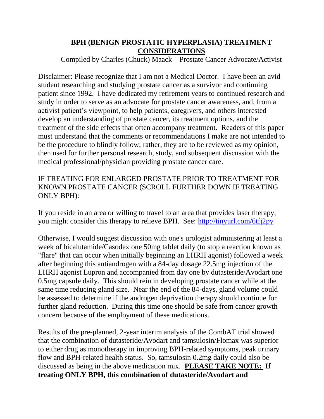## **BPH (BENIGN PROSTATIC HYPERPLASIA) TREATMENT CONSIDERATIONS**

Compiled by Charles (Chuck) Maack – Prostate Cancer Advocate/Activist

Disclaimer: Please recognize that I am not a Medical Doctor. I have been an avid student researching and studying prostate cancer as a survivor and continuing patient since 1992. I have dedicated my retirement years to continued research and study in order to serve as an advocate for prostate cancer awareness, and, from a activist patient's viewpoint, to help patients, caregivers, and others interested develop an understanding of prostate cancer, its treatment options, and the treatment of the side effects that often accompany treatment. Readers of this paper must understand that the comments or recommendations I make are not intended to be the procedure to blindly follow; rather, they are to be reviewed as my opinion, then used for further personal research, study, and subsequent discussion with the medical professional/physician providing prostate cancer care.

IF TREATING FOR ENLARGED PROSTATE PRIOR TO TREATMENT FOR KNOWN PROSTATE CANCER (SCROLL FURTHER DOWN IF TREATING ONLY BPH):

If you reside in an area or willing to travel to an area that provides laser therapy, you might consider this therapy to relieve BPH. See: <http://tinyurl.com/6tfj2py>

Otherwise, I would suggest discussion with one's urologist administering at least a week of bicalutamide/Casodex one 50mg tablet daily (to stop a reaction known as "flare" that can occur when initially beginning an LHRH agonist) followed a week after beginning this antiandrogen with a 84-day dosage 22.5mg injection of the LHRH agonist Lupron and accompanied from day one by dutasteride/Avodart one 0.5mg capsule daily. This should rein in developing prostate cancer while at the same time reducing gland size. Near the end of the 84-days, gland volume could be assessed to determine if the androgen deprivation therapy should continue for further gland reduction. During this time one should be safe from cancer growth concern because of the employment of these medications.

Results of the pre-planned, 2-year interim analysis of the CombAT trial showed that the combination of dutasteride/Avodart and tamsulosin/Flomax was superior to either drug as monotherapy in improving BPH-related symptoms, peak urinary flow and BPH-related health status. So, tamsulosin 0.2mg daily could also be discussed as being in the above medication mix. **PLEASE TAKE NOTE: If treating ONLY BPH, this combination of dutasteride/Avodart and**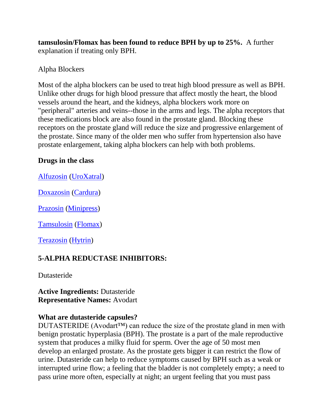**tamsulosin/Flomax has been found to reduce BPH by up to 25%.** A further explanation if treating only BPH.

#### Alpha Blockers

Most of the alpha blockers can be used to treat high blood pressure as well as BPH. Unlike other drugs for high blood pressure that affect mostly the heart, the blood vessels around the heart, and the kidneys, alpha blockers work more on "peripheral" arteries and veins--those in the arms and legs. The alpha receptors that these medications block are also found in the prostate gland. Blocking these receptors on the prostate gland will reduce the size and progressive enlargement of the prostate. Since many of the older men who suffer from hypertension also have prostate enlargement, taking alpha blockers can help with both problems.

#### **Drugs in the class**

[Alfuzosin](http://www.drugdigest.org/DD/DVH/Uses/0,3915,552673%7CAlfuzosin,00.html) [\(UroXatral\)](http://www.drugdigest.org/DD/DVH/Uses/0,3915,552673%7CUroXatral,00.html)

[Doxazosin](http://www.drugdigest.org/DD/DVH/Uses/0,3915,222%7CDoxazosin,00.html) [\(Cardura\)](http://www.drugdigest.org/DD/DVH/Uses/0,3915,222%7CCardura,00.html)

[Prazosin](http://www.drugdigest.org/DD/DVH/Uses/0,3915,558%7CPrazosin,00.html) [\(Minipress\)](http://www.drugdigest.org/DD/DVH/Uses/0,3915,558%7CMinipress,00.html)

[Tamsulosin](http://www.drugdigest.org/DD/DVH/Uses/0,3915,638%7CTamsulosin,00.html) [\(Flomax\)](http://www.drugdigest.org/DD/DVH/Uses/0,3915,638%7CFlomax,00.html)

[Terazosin](http://www.drugdigest.org/DD/DVH/Uses/0,3915,641%7CTerazosin,00.html) [\(Hytrin\)](http://www.drugdigest.org/DD/DVH/Uses/0,3915,641%7CHytrin,00.html)

# **5-ALPHA REDUCTASE INHIBITORS:**

Dutasteride

**Active Ingredients:** Dutasteride **Representative Names:** Avodart

#### **What are dutasteride capsules?**

DUTASTERIDE (Avodart<sup>TM</sup>) can reduce the size of the prostate gland in men with benign prostatic hyperplasia (BPH). The prostate is a part of the male reproductive system that produces a milky fluid for sperm. Over the age of 50 most men develop an enlarged prostate. As the prostate gets bigger it can restrict the flow of urine. Dutasteride can help to reduce symptoms caused by BPH such as a weak or interrupted urine flow; a feeling that the bladder is not completely empty; a need to pass urine more often, especially at night; an urgent feeling that you must pass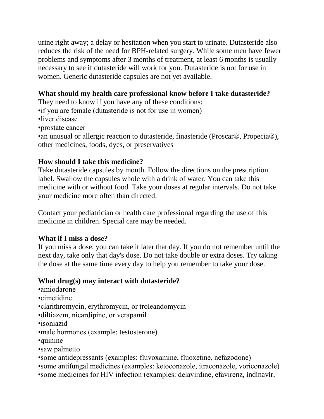urine right away; a delay or hesitation when you start to urinate. Dutasteride also reduces the risk of the need for BPH-related surgery. While some men have fewer problems and symptoms after 3 months of treatment, at least 6 months is usually necessary to see if dutasteride will work for you. Dutasteride is not for use in women. Generic dutasteride capsules are not yet available.

#### **What should my health care professional know before I take dutasteride?**

They need to know if you have any of these conditions:

•if you are female (dutasteride is not for use in women)

•liver disease

•prostate cancer

•an unusual or allergic reaction to dutasteride, finasteride (Proscar®, Propecia®), other medicines, foods, dyes, or preservatives

#### **How should I take this medicine?**

Take dutasteride capsules by mouth. Follow the directions on the prescription label. Swallow the capsules whole with a drink of water. You can take this medicine with or without food. Take your doses at regular intervals. Do not take your medicine more often than directed.

Contact your pediatrician or health care professional regarding the use of this medicine in children. Special care may be needed.

#### **What if I miss a dose?**

If you miss a dose, you can take it later that day. If you do not remember until the next day, take only that day's dose. Do not take double or extra doses. Try taking the dose at the same time every day to help you remember to take your dose.

#### **What drug(s) may interact with dutasteride?**

- •amiodarone
- •cimetidine
- •clarithromycin, erythromycin, or troleandomycin
- •diltiazem, nicardipine, or verapamil
- •isoniazid
- •male hormones (example: testosterone)
- •quinine
- •saw palmetto
- •some antidepressants (examples: fluvoxamine, fluoxetine, nefazodone)
- •some antifungal medicines (examples: ketoconazole, itraconazole, voriconazole)
- •some medicines for HIV infection (examples: delavirdine, efavirenz, indinavir,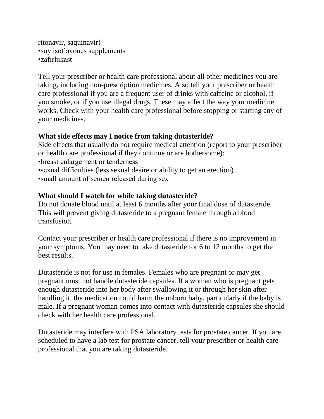```
ritonavir, saquinavir)
•soy isoflavones supplements
•zafirlukast
```
Tell your prescriber or health care professional about all other medicines you are taking, including non-prescription medicines. Also tell your prescriber or health care professional if you are a frequent user of drinks with caffeine or alcohol, if you smoke, or if you use illegal drugs. These may affect the way your medicine works. Check with your health care professional before stopping or starting any of your medicines.

### **What side effects may I notice from taking dutasteride?**

Side effects that usually do not require medical attention (report to your prescriber or health care professional if they continue or are bothersome): •breast enlargement or tenderness •sexual difficulties (less sexual desire or ability to get an erection) •small amount of semen released during sex

#### **What should I watch for while taking dutasteride?**

Do not donate blood until at least 6 months after your final dose of dutasteride. This will prevent giving dutasteride to a pregnant female through a blood transfusion.

Contact your prescriber or health care professional if there is no improvement in your symptoms. You may need to take dutasteride for 6 to 12 months to get the best results.

Dutasteride is not for use in females. Females who are pregnant or may get pregnant must not handle dutasteride capsules. If a woman who is pregnant gets enough dutasteride into her body after swallowing it or through her skin after handling it, the medication could harm the unborn baby, particularly if the baby is male. If a pregnant woman comes into contact with dutasteride capsules she should check with her health care professional.

Dutasteride may interfere with PSA laboratory tests for prostate cancer. If you are scheduled to have a lab test for prostate cancer, tell your prescriber or health care professional that you are taking dutasteride.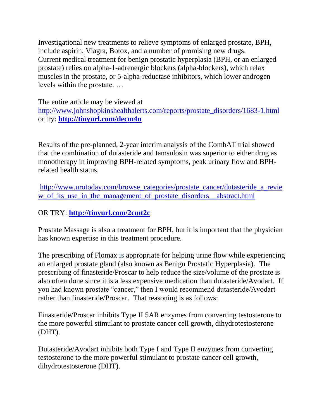Investigational new treatments to relieve symptoms of enlarged prostate, BPH, include aspirin, Viagra, Botox, and a number of promising new drugs. Current medical treatment for benign prostatic hyperplasia (BPH, or an enlarged prostate) relies on alpha-1-adrenergic blockers (alpha-blockers), which relax muscles in the prostate, or 5-alpha-reductase inhibitors, which lower androgen levels within the prostate. …

The entire article may be viewed at [http://www.johnshopkinshealthalerts.com/reports/prostate\\_disorders/1683-1.html](http://www.johnshopkinshealthalerts.com/reports/prostate_disorders/1683-1.html) or try: **<http://tinyurl.com/decm4n>**

Results of the pre-planned, 2-year interim analysis of the CombAT trial showed that the combination of dutasteride and tamsulosin was superior to either drug as monotherapy in improving BPH-related symptoms, peak urinary flow and BPHrelated health status.

[http://www.urotoday.com/browse\\_categories/prostate\\_cancer/dutasteride\\_a\\_revie](http://www.urotoday.com/browse_categories/prostate_cancer/dutasteride_a_review_of_its_use_in_the_management_of_prostate_disorders__abstract.html) w of its use in the management of prostate disorders abstract.html

## OR TRY: **<http://tinyurl.com/2cmt2c>**

Prostate Massage is also a treatment for BPH, but it is important that the physician has known expertise in this treatment procedure.

The prescribing of Flomax is appropriate for helping urine flow while experiencing an enlarged prostate gland (also known as Benign Prostatic Hyperplasia). The prescribing of finasteride/Proscar to help reduce the size/volume of the prostate is also often done since it is a less expensive medication than dutasteride/Avodart. If you had known prostate "cancer," then I would recommend dutasteride/Avodart rather than finasteride/Proscar. That reasoning is as follows:

Finasteride/Proscar inhibits Type II 5AR enzymes from converting testosterone to the more powerful stimulant to prostate cancer cell growth, dihydrotestosterone (DHT).

Dutasteride/Avodart inhibits both Type I and Type II enzymes from converting testosterone to the more powerful stimulant to prostate cancer cell growth, dihydrotestosterone (DHT).